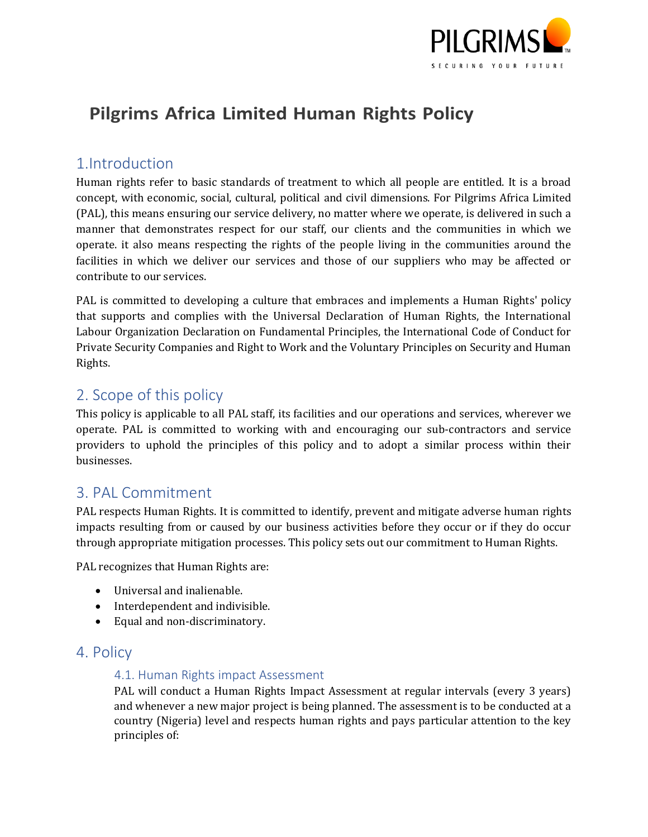

# **Pilgrims Africa Limited Human Rights Policy**

# 1.Introduction

Human rights refer to basic standards of treatment to which all people are entitled. It is a broad concept, with economic, social, cultural, political and civil dimensions. For Pilgrims Africa Limited (PAL), this means ensuring our service delivery, no matter where we operate, is delivered in such a manner that demonstrates respect for our staff, our clients and the communities in which we operate. it also means respecting the rights of the people living in the communities around the facilities in which we deliver our services and those of our suppliers who may be affected or contribute to our services.

PAL is committed to developing a culture that embraces and implements a Human Rights' policy that supports and complies with the Universal Declaration of Human Rights, the International Labour Organization Declaration on Fundamental Principles, the International Code of Conduct for Private Security Companies and Right to Work and the Voluntary Principles on Security and Human Rights.

# 2. Scope of this policy

This policy is applicable to all PAL staff, its facilities and our operations and services, wherever we operate. PAL is committed to working with and encouraging our sub-contractors and service providers to uphold the principles of this policy and to adopt a similar process within their businesses.

# 3. PAL Commitment

PAL respects Human Rights. It is committed to identify, prevent and mitigate adverse human rights impacts resulting from or caused by our business activities before they occur or if they do occur through appropriate mitigation processes. This policy sets out our commitment to Human Rights.

PAL recognizes that Human Rights are:

- Universal and inalienable.
- Interdependent and indivisible.
- Equal and non-discriminatory.

# 4. Policy

#### 4.1. Human Rights impact Assessment

PAL will conduct a Human Rights Impact Assessment at regular intervals (every 3 years) and whenever a new major project is being planned. The assessment is to be conducted at a country (Nigeria) level and respects human rights and pays particular attention to the key principles of: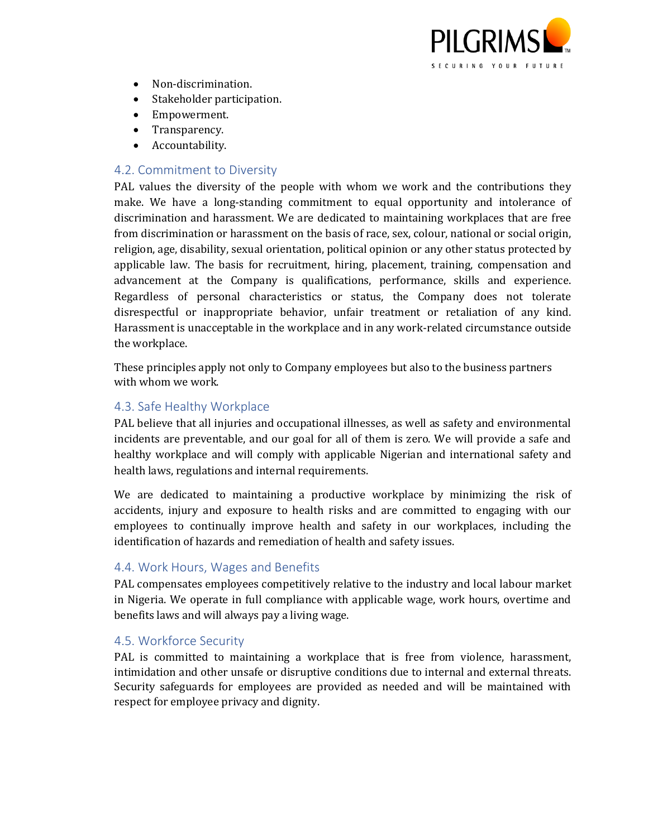

- Non-discrimination.
- Stakeholder participation.
- Empowerment.
- Transparency.
- Accountability.

#### 4.2. Commitment to Diversity

PAL values the diversity of the people with whom we work and the contributions they make. We have a long-standing commitment to equal opportunity and intolerance of discrimination and harassment. We are dedicated to maintaining workplaces that are free from discrimination or harassment on the basis of race, sex, colour, national or social origin, religion, age, disability, sexual orientation, political opinion or any other status protected by applicable law. The basis for recruitment, hiring, placement, training, compensation and advancement at the Company is qualifications, performance, skills and experience. Regardless of personal characteristics or status, the Company does not tolerate disrespectful or inappropriate behavior, unfair treatment or retaliation of any kind. Harassment is unacceptable in the workplace and in any work-related circumstance outside the workplace.

These principles apply not only to Company employees but also to the business partners with whom we work.

#### 4.3. Safe Healthy Workplace

PAL believe that all injuries and occupational illnesses, as well as safety and environmental incidents are preventable, and our goal for all of them is zero. We will provide a safe and healthy workplace and will comply with applicable Nigerian and international safety and health laws, regulations and internal requirements.

We are dedicated to maintaining a productive workplace by minimizing the risk of accidents, injury and exposure to health risks and are committed to engaging with our employees to continually improve health and safety in our workplaces, including the identification of hazards and remediation of health and safety issues.

# 4.4. Work Hours, Wages and Benefits

PAL compensates employees competitively relative to the industry and local labour market in Nigeria. We operate in full compliance with applicable wage, work hours, overtime and benefits laws and will always pay a living wage.

#### 4.5. Workforce Security

PAL is committed to maintaining a workplace that is free from violence, harassment, intimidation and other unsafe or disruptive conditions due to internal and external threats. Security safeguards for employees are provided as needed and will be maintained with respect for employee privacy and dignity.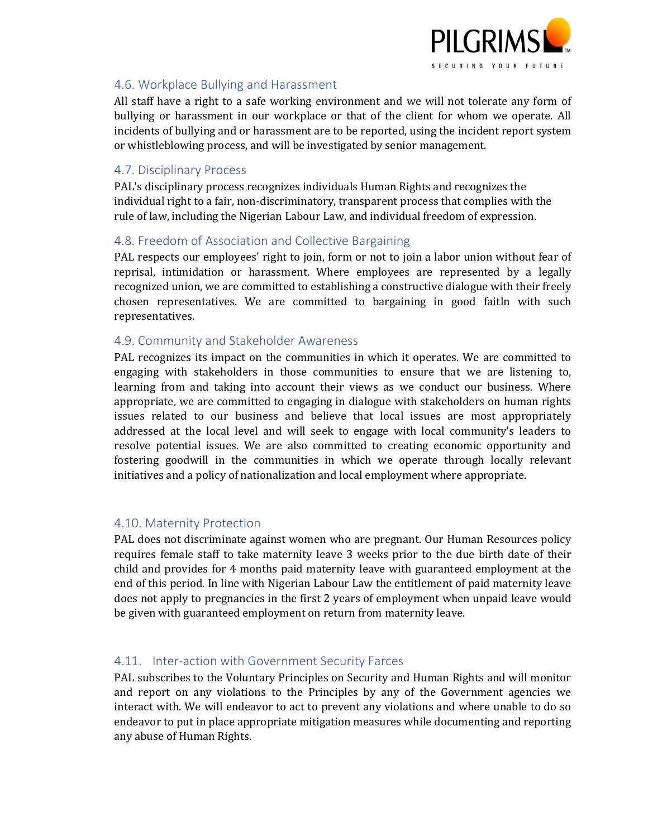

# 4.6. Workplace Bullying and Harassment

All staff have a right to a safe working environment and we will not tolerate any form of bullying or harassment in our workplace or that of the client for whom we operate. All incidents of bullying and or harassment are to be reported, using the incident report system or whistleblowing process, and will be investigated by senior management.

#### 4.7. Disciplinary Process

PAL's disciplinary process recognizes individuals Human Rights and recognizes the individual right to a fair, non-discriminatory, transparent process that complies with the rule of law, including the Nigerian Labour Law, and individual freedom of expression.

#### 4.8. Freedom of Association and Collective Bargaining

PAL respects our employees' right to join, form or not to join a labor union without fear of reprisal, intimidation or harassment. Where employees are represented by a legally recognized union, we are committed to establishing a constructive dialogue with their freely chosen representatives. We are committed to bargaining in good faitln with such representatives.

#### 4.9. Community and Stakeholder Awareness

PAL recognizes its impact on the communities in which it operates. We are committed to engaging with stakeholders in those communities to ensure that we are listening to, learning from and taking into account their views as we conduct our business. Where appropriate, we are committed to engaging in dialogue with stakeholders on human rights issues related to our business and believe that local issues are most appropriately addressed at the local level and will seek to engage with local community's leaders to resolve potential issues. We are also committed to creating economic opportunity and fostering goodwill in the communities in which we operate through locally relevant initiatives and a policy of nationalization and local employment where appropriate.

#### 4.10. Maternity Protection

PAL does not discriminate against women who are pregnant. Our Human Resources policy requires female staff to take maternity leave 3 weeks prior to the due birth date of their child and provides for 4 months paid maternity leave with guaranteed employment at the end of this period. In line with Nigerian Labour Law the entitlement of paid maternity leave does not apply to pregnancies in the first 2 years of employment when unpaid leave would be given with guaranteed employment on return from maternity leave.

# 4.11. Inter-action with Government Security Farces

PAL subscribes to the Voluntary Principles on Security and Human Rights and will monitor and report on any violations to the Principles by any of the Government agencies we interact with. We will endeavor to act to prevent any violations and where unable to do so endeavor to put in place appropriate mitigation measures while documenting and reporting any abuse of Human Rights.